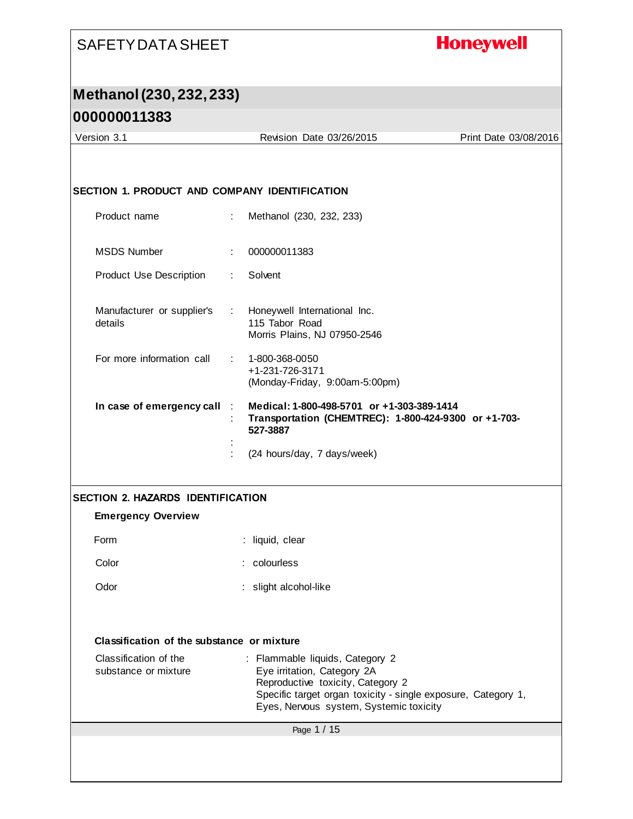# **Honeywell**

# **Methanol (230, 232, 233)**

| Version 3.1                                   |                            | Revision Date 03/26/2015                                                                                                                                                                                        | Print Date 03/08/2016 |
|-----------------------------------------------|----------------------------|-----------------------------------------------------------------------------------------------------------------------------------------------------------------------------------------------------------------|-----------------------|
|                                               |                            |                                                                                                                                                                                                                 |                       |
| SECTION 1. PRODUCT AND COMPANY IDENTIFICATION |                            |                                                                                                                                                                                                                 |                       |
|                                               |                            |                                                                                                                                                                                                                 |                       |
| Product name                                  | ÷.                         | Methanol (230, 232, 233)                                                                                                                                                                                        |                       |
| <b>MSDS Number</b>                            | ÷                          | 000000011383                                                                                                                                                                                                    |                       |
| <b>Product Use Description</b>                | $\mathcal{L}^{\text{max}}$ | Solvent                                                                                                                                                                                                         |                       |
| Manufacturer or supplier's<br>details         |                            | : Honeywell International Inc.<br>115 Tabor Road<br>Morris Plains, NJ 07950-2546                                                                                                                                |                       |
| For more information call                     |                            | $: 1 - 800 - 368 - 0050$<br>+1-231-726-3171<br>(Monday-Friday, 9:00am-5:00pm)                                                                                                                                   |                       |
| In case of emergency call                     | $\sim 100$                 | Medical: 1-800-498-5701 or +1-303-389-1414<br>Transportation (CHEMTREC): 1-800-424-9300 or +1-703-                                                                                                              |                       |
|                                               |                            | 527-3887                                                                                                                                                                                                        |                       |
|                                               |                            | (24 hours/day, 7 days/week)                                                                                                                                                                                     |                       |
|                                               |                            |                                                                                                                                                                                                                 |                       |
| <b>SECTION 2. HAZARDS IDENTIFICATION</b>      |                            |                                                                                                                                                                                                                 |                       |
| <b>Emergency Overview</b>                     |                            |                                                                                                                                                                                                                 |                       |
| Form                                          |                            | : liquid, clear                                                                                                                                                                                                 |                       |
| Color                                         |                            | colourless                                                                                                                                                                                                      |                       |
| Odor                                          |                            | : slight alcohol-like                                                                                                                                                                                           |                       |
|                                               |                            |                                                                                                                                                                                                                 |                       |
| Classification of the substance or mixture    |                            |                                                                                                                                                                                                                 |                       |
| Classification of the<br>substance or mixture |                            | : Flammable liquids, Category 2<br>Eye irritation, Category 2A<br>Reproductive toxicity, Category 2<br>Specific target organ toxicity - single exposure, Category 1,<br>Eyes, Nervous system, Systemic toxicity |                       |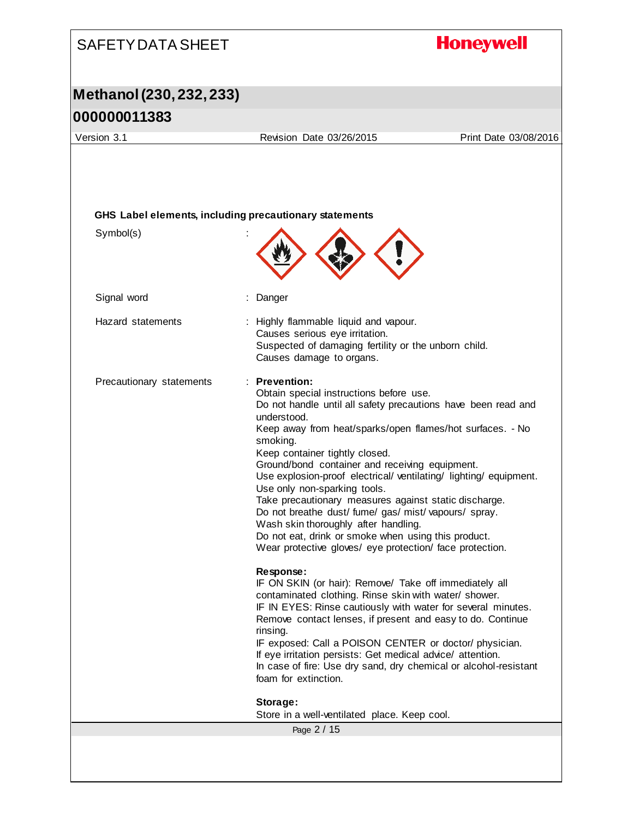### **Honeywell** SAFETY DATA SHEET **Methanol (230, 232, 233) 000000011383** Version 3.1 Revision Date 03/26/2015 Print Date 03/08/2016 **GHS Label elements, including precautionary statements** Symbol(s) : Signal word : Danger Hazard statements : Highly flammable liquid and vapour. Causes serious eye irritation. Suspected of damaging fertility or the unborn child. Causes damage to organs. Precautionary statements : **Prevention:**  Obtain special instructions before use. Do not handle until all safety precautions have been read and understood. Keep away from heat/sparks/open flames/hot surfaces. - No smoking. Keep container tightly closed. Ground/bond container and receiving equipment. Use explosion-proof electrical/ ventilating/ lighting/ equipment. Use only non-sparking tools. Take precautionary measures against static discharge. Do not breathe dust/ fume/ gas/ mist/ vapours/ spray. Wash skin thoroughly after handling. Do not eat, drink or smoke when using this product. Wear protective gloves/ eye protection/ face protection. **Response:**  IF ON SKIN (or hair): Remove/ Take off immediately all contaminated clothing. Rinse skin with water/ shower. IF IN EYES: Rinse cautiously with water for several minutes. Remove contact lenses, if present and easy to do. Continue rinsing. IF exposed: Call a POISON CENTER or doctor/ physician. If eye irritation persists: Get medical advice/ attention. In case of fire: Use dry sand, dry chemical or alcohol-resistant foam for extinction. **Storage:**  Store in a well-ventilated place. Keep cool.Page 2 / 15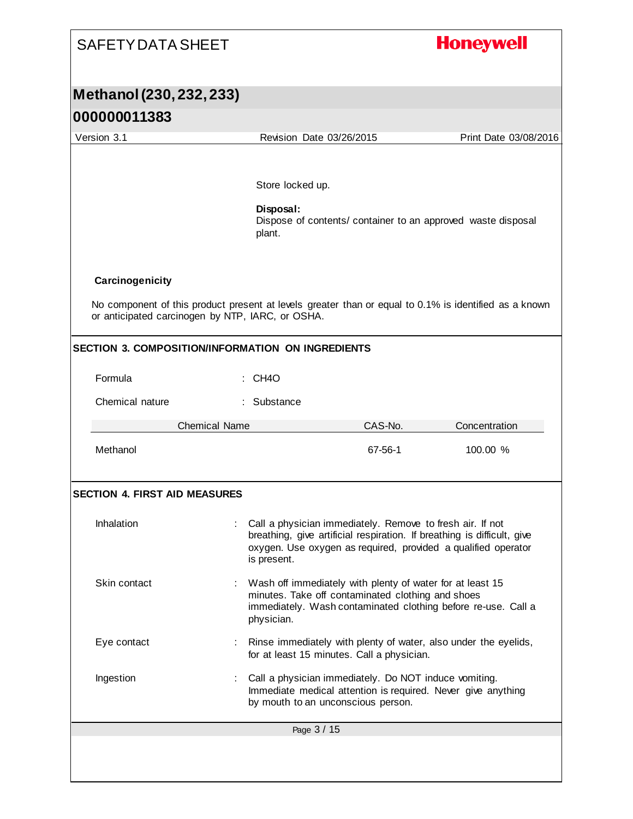| <b>SAFETY DATA SHEET</b>                                                                                                                                                                                                                 |                                         |                                                                                                                                                                                                       | <b>Honeywell</b>                                             |
|------------------------------------------------------------------------------------------------------------------------------------------------------------------------------------------------------------------------------------------|-----------------------------------------|-------------------------------------------------------------------------------------------------------------------------------------------------------------------------------------------------------|--------------------------------------------------------------|
| Methanol (230, 232, 233)                                                                                                                                                                                                                 |                                         |                                                                                                                                                                                                       |                                                              |
| 000000011383                                                                                                                                                                                                                             |                                         |                                                                                                                                                                                                       |                                                              |
| Version 3.1                                                                                                                                                                                                                              | Revision Date 03/26/2015                |                                                                                                                                                                                                       | Print Date 03/08/2016                                        |
|                                                                                                                                                                                                                                          | Store locked up.<br>Disposal:<br>plant. |                                                                                                                                                                                                       | Dispose of contents/ container to an approved waste disposal |
| Carcinogenicity<br>No component of this product present at levels greater than or equal to 0.1% is identified as a known<br>or anticipated carcinogen by NTP, IARC, or OSHA.<br><b>SECTION 3. COMPOSITION/INFORMATION ON INGREDIENTS</b> |                                         |                                                                                                                                                                                                       |                                                              |
| Formula                                                                                                                                                                                                                                  | CH4O                                    |                                                                                                                                                                                                       |                                                              |
|                                                                                                                                                                                                                                          |                                         |                                                                                                                                                                                                       |                                                              |
| Chemical nature                                                                                                                                                                                                                          | : Substance                             |                                                                                                                                                                                                       |                                                              |
| <b>Chemical Name</b>                                                                                                                                                                                                                     |                                         | CAS-No.                                                                                                                                                                                               | Concentration                                                |
| Methanol                                                                                                                                                                                                                                 |                                         | 67-56-1                                                                                                                                                                                               | 100.00 %                                                     |
| <b>SECTION 4. FIRST AID MEASURES</b>                                                                                                                                                                                                     |                                         |                                                                                                                                                                                                       |                                                              |
|                                                                                                                                                                                                                                          |                                         |                                                                                                                                                                                                       |                                                              |
| Inhalation                                                                                                                                                                                                                               | is present.                             | Call a physician immediately. Remove to fresh air. If not<br>breathing, give artificial respiration. If breathing is difficult, give<br>oxygen. Use oxygen as required, provided a qualified operator |                                                              |
| Skin contact                                                                                                                                                                                                                             | physician.                              | Wash off immediately with plenty of water for at least 15<br>minutes. Take off contaminated clothing and shoes<br>immediately. Wash contaminated clothing before re-use. Call a                       |                                                              |
| Eye contact                                                                                                                                                                                                                              |                                         | : Rinse immediately with plenty of water, also under the eyelids,<br>for at least 15 minutes. Call a physician.                                                                                       |                                                              |
| Ingestion                                                                                                                                                                                                                                |                                         | Call a physician immediately. Do NOT induce vomiting.<br>Immediate medical attention is required. Never give anything<br>by mouth to an unconscious person.                                           |                                                              |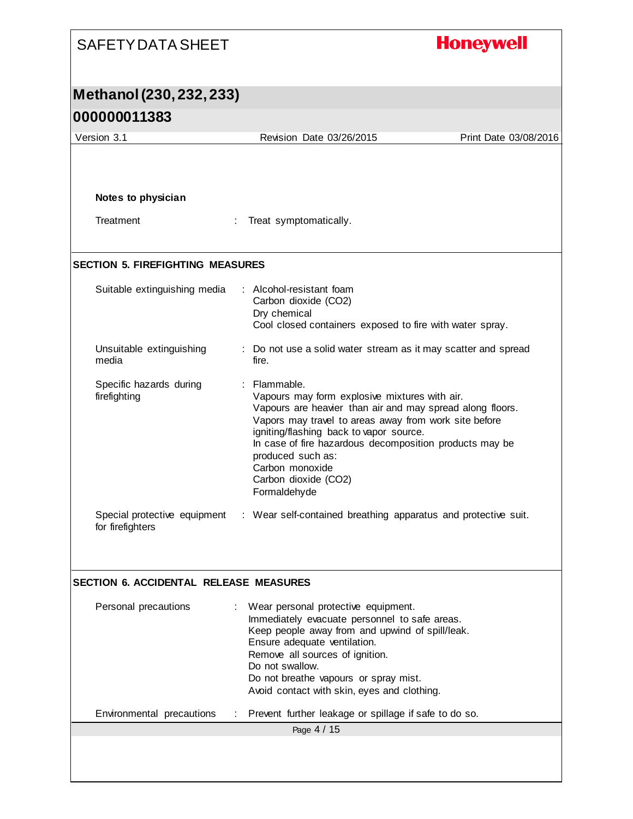#### **Honeywell** SAFETY DATA SHEET **Methanol (230, 232, 233) 000000011383** Version 3.1 Revision Date 03/26/2015 Print Date 03/08/2016 **Notes to physician** Treatment : Treat symptomatically. **SECTION 5. FIREFIGHTING MEASURES** Suitable extinguishing media : Alcohol-resistant foam Carbon dioxide (CO2) Dry chemical Cool closed containers exposed to fire with water spray. Unsuitable extinguishing : Do not use a solid water stream as it may scatter and spread media fire. Specific hazards during : Flammable. firefighting Vapours may form explosive mixtures with air. Vapours are heavier than air and may spread along floors. Vapors may travel to areas away from work site before igniting/flashing back to vapor source. In case of fire hazardous decomposition products may be produced such as: Carbon monoxide Carbon dioxide (CO2) Formaldehyde Special protective equipment : Wear self-contained breathing apparatus and protective suit. for firefighters **SECTION 6. ACCIDENTAL RELEASE MEASURES** Personal precautions : Wear personal protective equipment. Immediately evacuate personnel to safe areas. Keep people away from and upwind of spill/leak. Ensure adequate ventilation. Remove all sources of ignition. Do not swallow. Do not breathe vapours or spray mist. Avoid contact with skin, eyes and clothing. Environmental precautions : Prevent further leakage or spillage if safe to do so. Page 4 / 15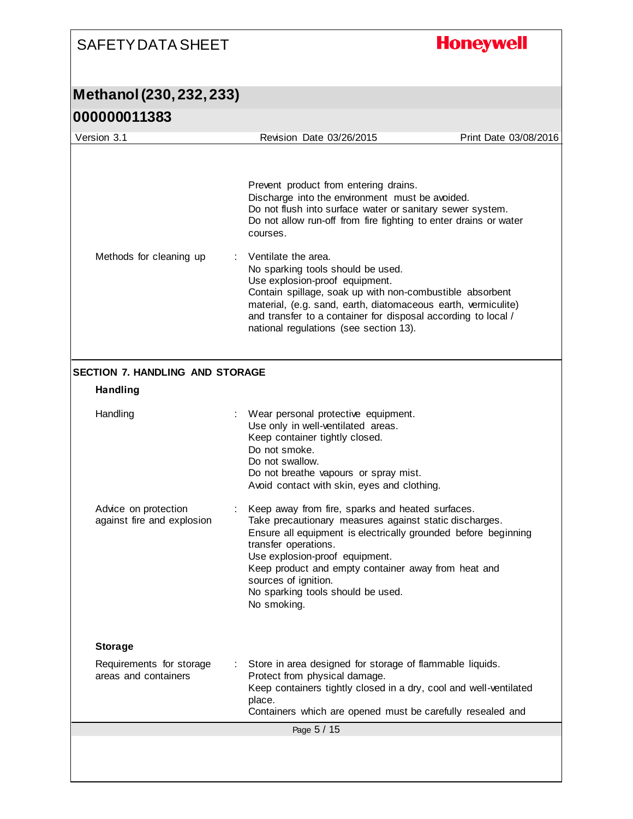# **Honeywell**

#### **Methanol (230, 232, 233) 000000011383**

| <u>UUUUUU LIJOJ</u>                                       |                                                                                                                                                                                                                                                                                                                                                                                                                                                                                                                                                                             |                       |
|-----------------------------------------------------------|-----------------------------------------------------------------------------------------------------------------------------------------------------------------------------------------------------------------------------------------------------------------------------------------------------------------------------------------------------------------------------------------------------------------------------------------------------------------------------------------------------------------------------------------------------------------------------|-----------------------|
| Version 3.1                                               | Revision Date 03/26/2015                                                                                                                                                                                                                                                                                                                                                                                                                                                                                                                                                    | Print Date 03/08/2016 |
| Methods for cleaning up                                   | Prevent product from entering drains.<br>Discharge into the environment must be avoided.<br>Do not flush into surface water or sanitary sewer system.<br>Do not allow run-off from fire fighting to enter drains or water<br>courses.<br>Ventilate the area.<br>No sparking tools should be used.<br>Use explosion-proof equipment.<br>Contain spillage, soak up with non-combustible absorbent<br>material, (e.g. sand, earth, diatomaceous earth, vermiculite)<br>and transfer to a container for disposal according to local /<br>national regulations (see section 13). |                       |
| <b>SECTION 7. HANDLING AND STORAGE</b><br><b>Handling</b> |                                                                                                                                                                                                                                                                                                                                                                                                                                                                                                                                                                             |                       |
|                                                           |                                                                                                                                                                                                                                                                                                                                                                                                                                                                                                                                                                             |                       |
| Handling                                                  | Wear personal protective equipment.<br>Use only in well-ventilated areas.<br>Keep container tightly closed.<br>Do not smoke.<br>Do not swallow.<br>Do not breathe vapours or spray mist.<br>Avoid contact with skin, eyes and clothing.                                                                                                                                                                                                                                                                                                                                     |                       |
| Advice on protection<br>against fire and explosion        | Keep away from fire, sparks and heated surfaces.<br>Take precautionary measures against static discharges.<br>Ensure all equipment is electrically grounded before beginning<br>transfer operations.<br>Use explosion-proof equipment.<br>Keep product and empty container away from heat and<br>sources of ignition.<br>No sparking tools should be used.<br>No smoking.                                                                                                                                                                                                   |                       |
| <b>Storage</b>                                            |                                                                                                                                                                                                                                                                                                                                                                                                                                                                                                                                                                             |                       |
| Requirements for storage<br>areas and containers          | Store in area designed for storage of flammable liquids.<br>Protect from physical damage.<br>Keep containers tightly closed in a dry, cool and well-ventilated<br>place.<br>Containers which are opened must be carefully resealed and                                                                                                                                                                                                                                                                                                                                      |                       |
|                                                           | Page 5 / 15                                                                                                                                                                                                                                                                                                                                                                                                                                                                                                                                                                 |                       |
|                                                           |                                                                                                                                                                                                                                                                                                                                                                                                                                                                                                                                                                             |                       |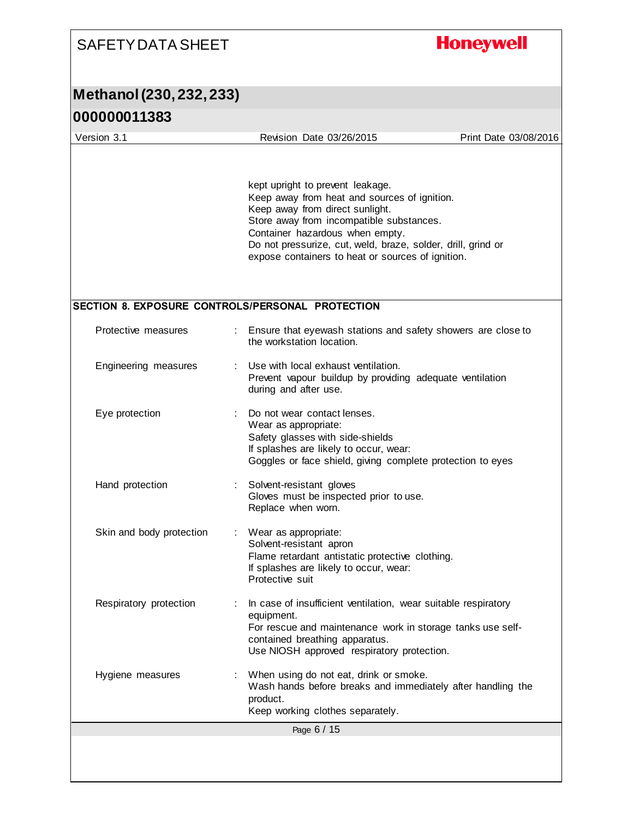# SAFETY DATA SHEET **Honeywell Methanol (230, 232, 233) 000000011383** Version 3.1 Revision Date 03/26/2015 Print Date 03/08/2016 kept upright to prevent leakage. Keep away from heat and sources of ignition. Keep away from direct sunlight. Store away from incompatible substances. Container hazardous when empty. Do not pressurize, cut, weld, braze, solder, drill, grind or expose containers to heat or sources of ignition. **SECTION 8. EXPOSURE CONTROLS/PERSONAL PROTECTION** Protective measures : Ensure that eyewash stations and safety showers are close to the workstation location. Engineering measures : Use with local exhaust ventilation. Prevent vapour buildup by providing adequate ventilation during and after use.

| Eye protection           |  | Do not wear contact lenses.<br>Wear as appropriate:<br>Safety glasses with side-shields<br>If splashes are likely to occur, wear:<br>Goggles or face shield, giving complete protection to eyes                              |  |  |
|--------------------------|--|------------------------------------------------------------------------------------------------------------------------------------------------------------------------------------------------------------------------------|--|--|
| Hand protection          |  | : Solvent-resistant gloves<br>Gloves must be inspected prior to use.<br>Replace when worn.                                                                                                                                   |  |  |
| Skin and body protection |  | : Wear as appropriate:<br>Solvent-resistant apron<br>Flame retardant antistatic protective clothing.<br>If splashes are likely to occur, wear:<br>Protective suit                                                            |  |  |
| Respiratory protection   |  | : In case of insufficient ventilation, wear suitable respiratory<br>equipment.<br>For rescue and maintenance work in storage tanks use self-<br>contained breathing apparatus.<br>Use NIOSH approved respiratory protection. |  |  |
| Hygiene measures         |  | : When using do not eat, drink or smoke.<br>Wash hands before breaks and immediately after handling the<br>product.<br>Keep working clothes separately.                                                                      |  |  |
| Page 6 / 15              |  |                                                                                                                                                                                                                              |  |  |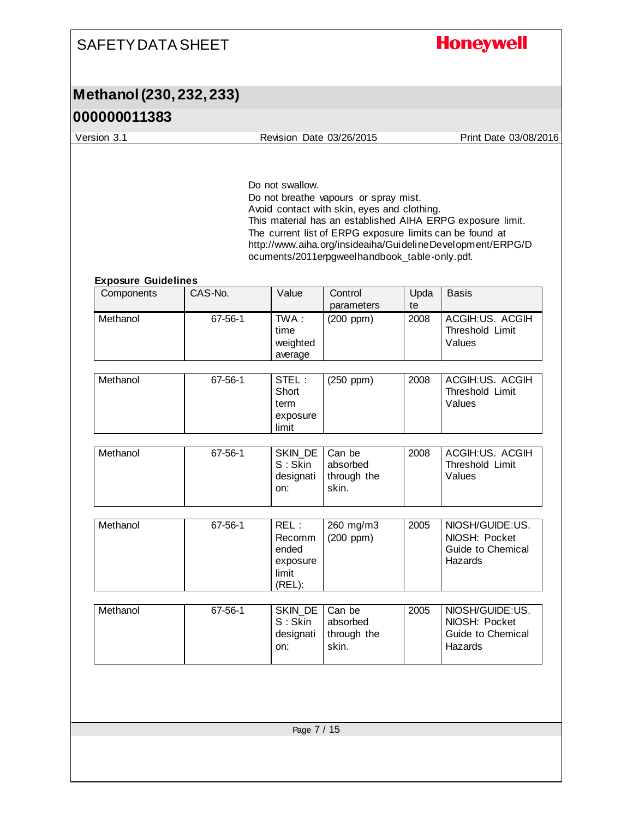# **Honeywell**

# **Methanol (230, 232, 233)**

| Version 3.1                              |             | Revision Date 03/26/2015                               |                                                                                                                                                                                                   |            | Print Date 03/08/2016                                                                                                    |  |
|------------------------------------------|-------------|--------------------------------------------------------|---------------------------------------------------------------------------------------------------------------------------------------------------------------------------------------------------|------------|--------------------------------------------------------------------------------------------------------------------------|--|
|                                          |             | Do not swallow.                                        | Do not breathe vapours or spray mist.<br>Avoid contact with skin, eyes and clothing.<br>The current list of ERPG exposure limits can be found at<br>ocuments/2011erpgweelhandbook_table-only.pdf. |            | This material has an established AIHA ERPG exposure limit.<br>http://www.aiha.org/insideaiha/GuidelineDevelopment/ERPG/D |  |
| <b>Exposure Guidelines</b><br>Components | CAS-No.     | Value                                                  | Control<br>parameters                                                                                                                                                                             | Upda<br>te | <b>Basis</b>                                                                                                             |  |
| Methanol                                 | 67-56-1     | TWA:<br>time<br>weighted<br>average                    | $(200$ ppm $)$                                                                                                                                                                                    | 2008       | ACGIH:US. ACGIH<br>Threshold Limit<br>Values                                                                             |  |
| Methanol                                 | 67-56-1     | STEL:<br>Short<br>term<br>exposure<br>limit            | $(250$ ppm $)$                                                                                                                                                                                    | 2008       | ACGIH:US. ACGIH<br>Threshold Limit<br>Values                                                                             |  |
| Methanol                                 | 67-56-1     | SKIN DE<br>$S:$ Skin<br>designati<br>on:               | Can be<br>absorbed<br>through the<br>skin.                                                                                                                                                        | 2008       | ACGIH:US. ACGIH<br>Threshold Limit<br>Values                                                                             |  |
| Methanol                                 | 67-56-1     | REL:<br>Recomm<br>ended<br>exposure<br>limit<br>(REL): | 260 mg/m3<br>$(200$ ppm $)$                                                                                                                                                                       | 2005       | NIOSH/GUIDE:US.<br>NIOSH: Pocket<br>Guide to Chemical<br>Hazards                                                         |  |
| Methanol                                 | 67-56-1     | SKIN_DE<br>S: Skin<br>designati<br>on:                 | Can be<br>absorbed<br>through the<br>skin.                                                                                                                                                        | 2005       | NIOSH/GUIDE:US.<br>NIOSH: Pocket<br>Guide to Chemical<br>Hazards                                                         |  |
|                                          | Page 7 / 15 |                                                        |                                                                                                                                                                                                   |            |                                                                                                                          |  |
|                                          |             |                                                        |                                                                                                                                                                                                   |            |                                                                                                                          |  |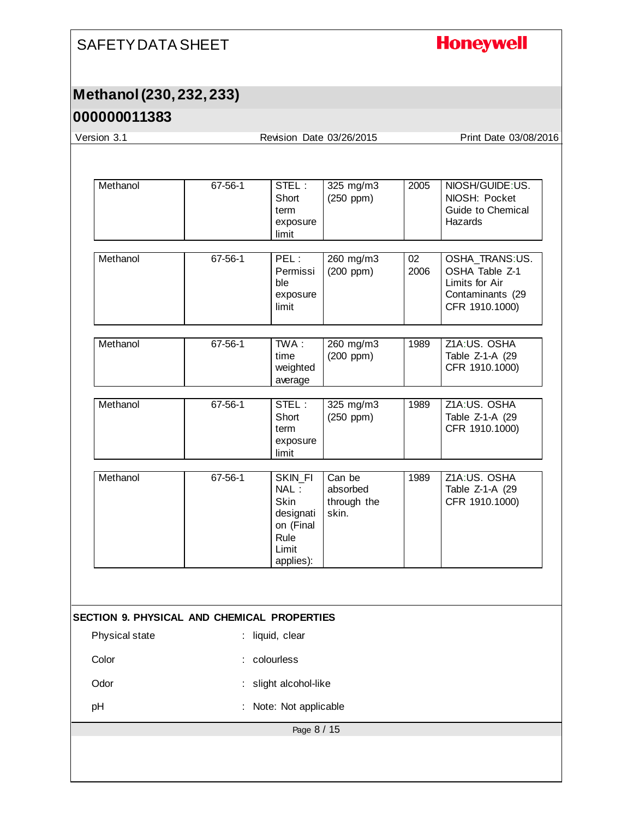# **Honeywell**

# **Methanol (230, 232, 233)**

| Version 3.1                                        |         |                                                                                        | Revision Date 03/26/2015                   |            | Print Date 03/08/2016                                                                    |
|----------------------------------------------------|---------|----------------------------------------------------------------------------------------|--------------------------------------------|------------|------------------------------------------------------------------------------------------|
|                                                    |         |                                                                                        |                                            |            |                                                                                          |
| Methanol                                           | 67-56-1 | STEL:<br>Short<br>term<br>exposure<br>limit                                            | 325 mg/m3<br>(250 ppm)                     | 2005       | NIOSH/GUIDE:US.<br>NIOSH: Pocket<br>Guide to Chemical<br>Hazards                         |
| Methanol                                           | 67-56-1 | PEL:<br>Permissi<br>ble<br>exposure<br>limit                                           | 260 mg/m3<br>$(200$ ppm $)$                | 02<br>2006 | OSHA_TRANS:US.<br>OSHA Table Z-1<br>Limits for Air<br>Contaminants (29<br>CFR 1910.1000) |
| Methanol                                           | 67-56-1 | TWA:<br>time<br>weighted<br>average                                                    | 260 mg/m3<br>$(200$ ppm $)$                | 1989       | Z1A:US. OSHA<br>Table Z-1-A (29<br>CFR 1910.1000)                                        |
| Methanol                                           | 67-56-1 | STEL:<br>Short<br>term<br>exposure<br>limit                                            | 325 mg/m3<br>$(250$ ppm $)$                | 1989       | Z1A:US. OSHA<br>Table Z-1-A (29<br>CFR 1910.1000)                                        |
| Methanol                                           | 67-56-1 | SKIN_FI<br>NAL:<br><b>Skin</b><br>designati<br>on (Final<br>Rule<br>Limit<br>applies): | Can be<br>absorbed<br>through the<br>skin. | 1989       | Z1A:US. OSHA<br>Table Z-1-A (29<br>CFR 1910.1000)                                        |
| <b>SECTION 9. PHYSICAL AND CHEMICAL PROPERTIES</b> |         |                                                                                        |                                            |            |                                                                                          |
| Physical state                                     |         | : liquid, clear                                                                        |                                            |            |                                                                                          |
| Color                                              |         | colourless                                                                             |                                            |            |                                                                                          |
| Odor                                               |         | slight alcohol-like                                                                    |                                            |            |                                                                                          |
| pH                                                 |         | : Note: Not applicable                                                                 |                                            |            |                                                                                          |
|                                                    |         | Page 8 / 15                                                                            |                                            |            |                                                                                          |
|                                                    |         |                                                                                        |                                            |            |                                                                                          |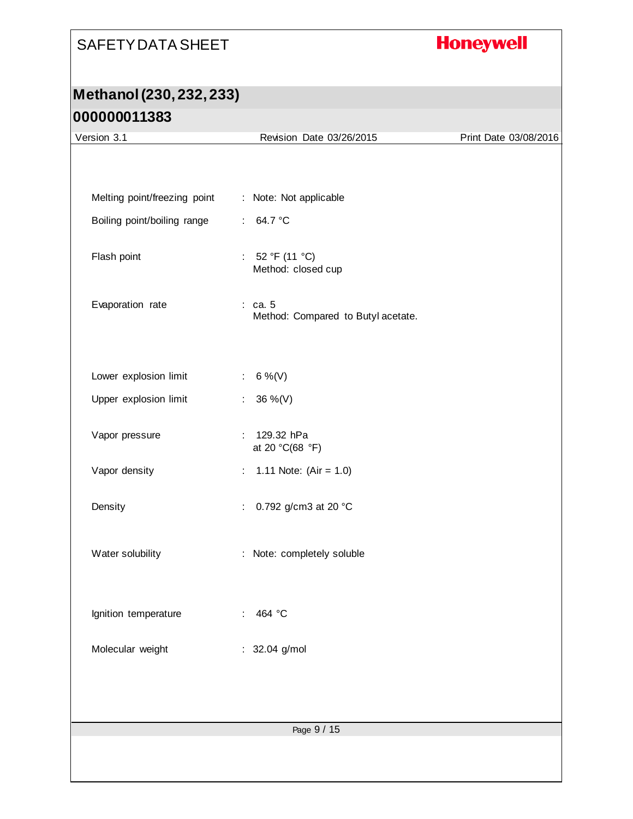# **Honeywell**

# **Methanol (230, 232, 233) 000000011383**

| Version 3.1                  | Revision Date 03/26/2015                        | Print Date 03/08/2016 |
|------------------------------|-------------------------------------------------|-----------------------|
|                              |                                                 |                       |
|                              |                                                 |                       |
| Melting point/freezing point | : Note: Not applicable                          |                       |
| Boiling point/boiling range  | 64.7 °C<br>$\mathcal{L}^{\mathcal{L}}$ .        |                       |
|                              |                                                 |                       |
| Flash point                  | : $52 °F (11 °C)$<br>Method: closed cup         |                       |
|                              |                                                 |                       |
| Evaporation rate             | $:$ ca. 5<br>Method: Compared to Butyl acetate. |                       |
|                              |                                                 |                       |
|                              |                                                 |                       |
| Lower explosion limit        | 6 %(V)<br>$\mathcal{L}_{\mathcal{A}}$           |                       |
| Upper explosion limit        | 36 %(V)<br>÷                                    |                       |
|                              |                                                 |                       |
| Vapor pressure               | : 129.32 hPa<br>at 20 °C(68 °F)                 |                       |
| Vapor density                | 1.11 Note: $(Air = 1.0)$<br>$\mathbb{Z}^+$      |                       |
|                              |                                                 |                       |
| Density                      | 0.792 g/cm3 at 20 °C<br>÷.                      |                       |
|                              |                                                 |                       |
| Water solubility             | : Note: completely soluble                      |                       |
|                              |                                                 |                       |
|                              | 464 °C                                          |                       |
| Ignition temperature         |                                                 |                       |
| Molecular weight             | 32.04 g/mol<br>÷                                |                       |
|                              |                                                 |                       |
|                              |                                                 |                       |
|                              |                                                 |                       |
|                              |                                                 |                       |
|                              |                                                 |                       |
|                              | Page 9 / 15                                     |                       |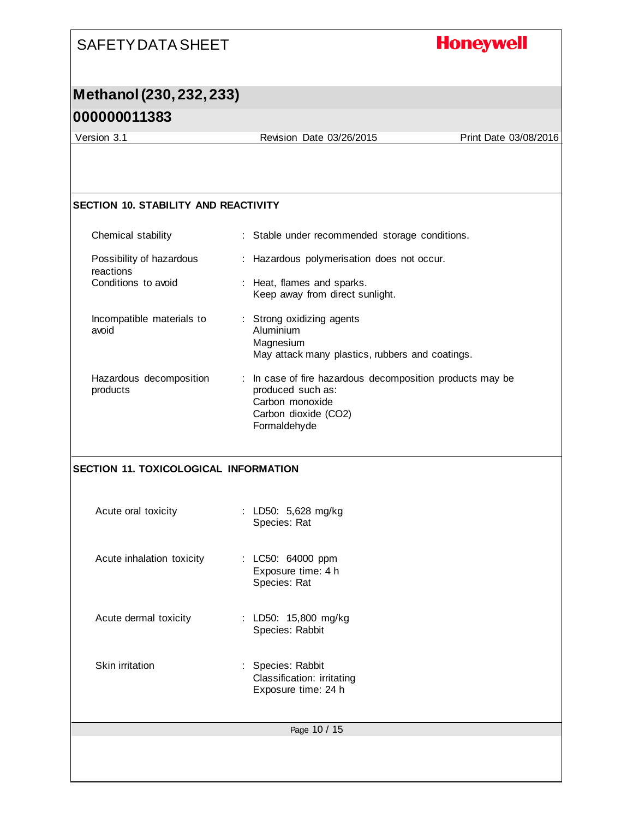## **Honeywell**

# **Methanol (230, 232, 233)**

#### **000000011383**

Version 3.1 Revision Date 03/26/2015 Print Date 03/08/2016

#### **SECTION 10. STABILITY AND REACTIVITY**

| Chemical stability                    | : Stable under recommended storage conditions.                                                                                          |
|---------------------------------------|-----------------------------------------------------------------------------------------------------------------------------------------|
| Possibility of hazardous<br>reactions | : Hazardous polymerisation does not occur.                                                                                              |
| Conditions to avoid                   | : Heat, flames and sparks.<br>Keep away from direct sunlight.                                                                           |
| Incompatible materials to<br>avoid    | : Strong oxidizing agents<br>Aluminium<br>Magnesium<br>May attack many plastics, rubbers and coatings.                                  |
| Hazardous decomposition<br>products   | In case of fire hazardous decomposition products may be<br>produced such as:<br>Carbon monoxide<br>Carbon dioxide (CO2)<br>Formaldehyde |
| SECTION 11. TOXICOLOGICAL INFORMATION |                                                                                                                                         |
| Acute oral toxicity                   | : LD50: 5,628 mg/kg<br>Species: Rat                                                                                                     |
| Acute inhalation toxicity             | : LC50: 64000 ppm<br>Exposure time: 4 h<br>Species: Rat                                                                                 |
| Acute dermal toxicity                 | : LD50: 15,800 mg/kg<br>Species: Rabbit                                                                                                 |

Skin irritation : Species: Rabbit Classification: irritating Exposure time: 24 h

Page 10 / 15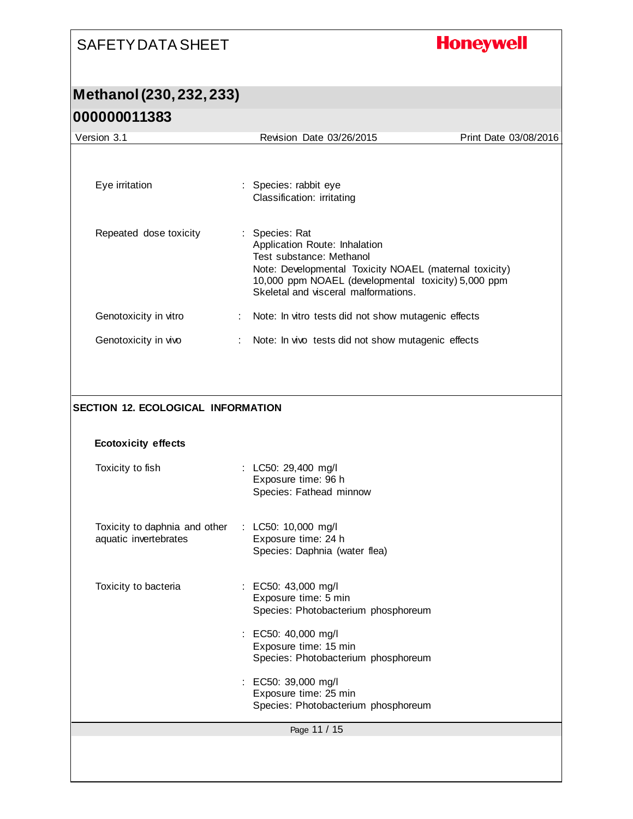# **Honeywell**

#### **Methanol (230, 232, 233) 000000011383**

| 000000011383                                                            |                                                                                                                                                                                                                                    |                       |
|-------------------------------------------------------------------------|------------------------------------------------------------------------------------------------------------------------------------------------------------------------------------------------------------------------------------|-----------------------|
| Version 3.1                                                             | Revision Date 03/26/2015                                                                                                                                                                                                           | Print Date 03/08/2016 |
| Eye irritation                                                          | : Species: rabbit eye<br>Classification: irritating                                                                                                                                                                                |                       |
| Repeated dose toxicity                                                  | Species: Rat<br>Application Route: Inhalation<br>Test substance: Methanol<br>Note: Developmental Toxicity NOAEL (maternal toxicity)<br>10,000 ppm NOAEL (developmental toxicity) 5,000 ppm<br>Skeletal and visceral malformations. |                       |
| Genotoxicity in vitro                                                   | Note: In vitro tests did not show mutagenic effects                                                                                                                                                                                |                       |
| Genotoxicity in vivo                                                    | Note: In vivo tests did not show mutagenic effects                                                                                                                                                                                 |                       |
| <b>SECTION 12. ECOLOGICAL INFORMATION</b><br><b>Ecotoxicity effects</b> |                                                                                                                                                                                                                                    |                       |
|                                                                         |                                                                                                                                                                                                                                    |                       |
| Toxicity to fish                                                        | : LC50: 29,400 mg/l<br>Exposure time: 96 h<br>Species: Fathead minnow                                                                                                                                                              |                       |
| Toxicity to daphnia and other<br>aquatic invertebrates                  | : LC50: 10,000 mg/l<br>Exposure time: 24 h<br>Species: Daphnia (water flea)                                                                                                                                                        |                       |
| Toxicity to bacteria                                                    | EC50: 43,000 mg/l<br>Exposure time: 5 min<br>Species: Photobacterium phosphoreum                                                                                                                                                   |                       |
|                                                                         | : EC50: 40,000 mg/l<br>Exposure time: 15 min<br>Species: Photobacterium phosphoreum                                                                                                                                                |                       |
|                                                                         | EC50: 39,000 mg/l<br>Exposure time: 25 min<br>Species: Photobacterium phosphoreum                                                                                                                                                  |                       |
|                                                                         | Page 11 / 15                                                                                                                                                                                                                       |                       |
|                                                                         |                                                                                                                                                                                                                                    |                       |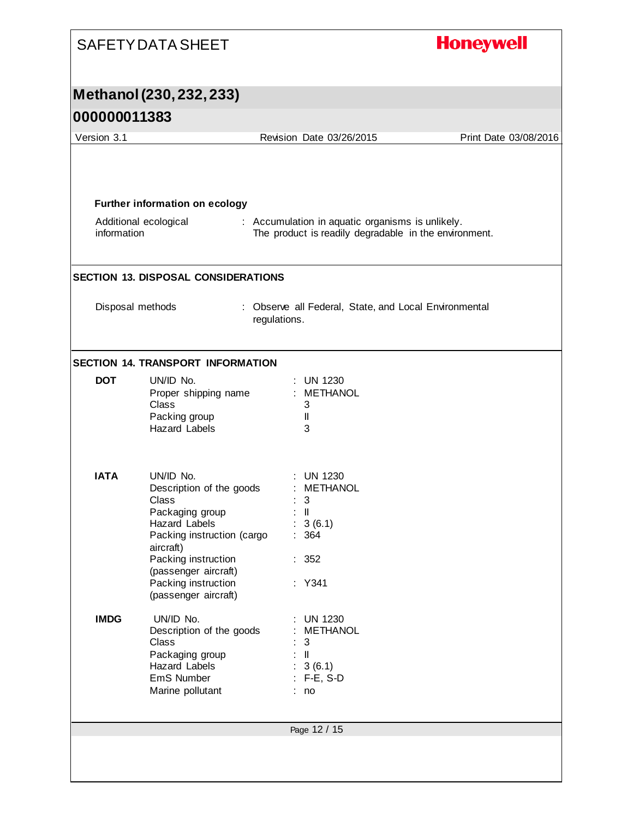| Methanol (230, 232, 233)<br>Version 3.1<br>Revision Date 03/26/2015<br>Print Date 03/08/2016<br><b>Further information on ecology</b><br>Additional ecological<br>: Accumulation in aquatic organisms is unlikely.<br>information<br>The product is readily degradable in the environment.<br>Disposal methods<br>: Observe all Federal, State, and Local Environmental<br>regulations.<br><b>DOT</b><br>UN/ID No.<br>: UN 1230<br>: METHANOL<br>Proper shipping name<br><b>Class</b><br>3<br>Packing group<br>Ш<br><b>Hazard Labels</b><br>3<br><b>IATA</b><br>UN/ID No.<br><b>UN 1230</b><br><b>METHANOL</b><br>Description of the goods<br>Class<br>3<br>Packaging group<br>: 11<br>: 3(6.1)<br>Hazard Labels<br>Packing instruction (cargo<br>: 364<br>aircraft)<br>Packing instruction<br>: 352<br>(passenger aircraft)<br>Packing instruction<br>: Y341<br>(passenger aircraft)<br><b>IMDG</b><br>UN/ID No.<br><b>UN 1230</b><br>Description of the goods<br>METHANOL<br>Class<br>3<br>Packaging group<br>: II<br>Hazard Labels<br>: 3(6.1)<br>$: F-E, S-D$<br>EmS Number<br>Marine pollutant<br>: no<br>Page 12 / 15 | <b>SAFETY DATA SHEET</b> | <b>Honeywell</b> |
|-----------------------------------------------------------------------------------------------------------------------------------------------------------------------------------------------------------------------------------------------------------------------------------------------------------------------------------------------------------------------------------------------------------------------------------------------------------------------------------------------------------------------------------------------------------------------------------------------------------------------------------------------------------------------------------------------------------------------------------------------------------------------------------------------------------------------------------------------------------------------------------------------------------------------------------------------------------------------------------------------------------------------------------------------------------------------------------------------------------------------------|--------------------------|------------------|
| 000000011383                                                                                                                                                                                                                                                                                                                                                                                                                                                                                                                                                                                                                                                                                                                                                                                                                                                                                                                                                                                                                                                                                                                |                          |                  |
|                                                                                                                                                                                                                                                                                                                                                                                                                                                                                                                                                                                                                                                                                                                                                                                                                                                                                                                                                                                                                                                                                                                             |                          |                  |
| <b>SECTION 13. DISPOSAL CONSIDERATIONS</b><br><b>SECTION 14. TRANSPORT INFORMATION</b>                                                                                                                                                                                                                                                                                                                                                                                                                                                                                                                                                                                                                                                                                                                                                                                                                                                                                                                                                                                                                                      |                          |                  |
|                                                                                                                                                                                                                                                                                                                                                                                                                                                                                                                                                                                                                                                                                                                                                                                                                                                                                                                                                                                                                                                                                                                             |                          |                  |
|                                                                                                                                                                                                                                                                                                                                                                                                                                                                                                                                                                                                                                                                                                                                                                                                                                                                                                                                                                                                                                                                                                                             |                          |                  |
|                                                                                                                                                                                                                                                                                                                                                                                                                                                                                                                                                                                                                                                                                                                                                                                                                                                                                                                                                                                                                                                                                                                             |                          |                  |
|                                                                                                                                                                                                                                                                                                                                                                                                                                                                                                                                                                                                                                                                                                                                                                                                                                                                                                                                                                                                                                                                                                                             |                          |                  |
|                                                                                                                                                                                                                                                                                                                                                                                                                                                                                                                                                                                                                                                                                                                                                                                                                                                                                                                                                                                                                                                                                                                             |                          |                  |
|                                                                                                                                                                                                                                                                                                                                                                                                                                                                                                                                                                                                                                                                                                                                                                                                                                                                                                                                                                                                                                                                                                                             |                          |                  |
|                                                                                                                                                                                                                                                                                                                                                                                                                                                                                                                                                                                                                                                                                                                                                                                                                                                                                                                                                                                                                                                                                                                             |                          |                  |
|                                                                                                                                                                                                                                                                                                                                                                                                                                                                                                                                                                                                                                                                                                                                                                                                                                                                                                                                                                                                                                                                                                                             |                          |                  |
|                                                                                                                                                                                                                                                                                                                                                                                                                                                                                                                                                                                                                                                                                                                                                                                                                                                                                                                                                                                                                                                                                                                             |                          |                  |
|                                                                                                                                                                                                                                                                                                                                                                                                                                                                                                                                                                                                                                                                                                                                                                                                                                                                                                                                                                                                                                                                                                                             |                          |                  |
|                                                                                                                                                                                                                                                                                                                                                                                                                                                                                                                                                                                                                                                                                                                                                                                                                                                                                                                                                                                                                                                                                                                             |                          |                  |
|                                                                                                                                                                                                                                                                                                                                                                                                                                                                                                                                                                                                                                                                                                                                                                                                                                                                                                                                                                                                                                                                                                                             |                          |                  |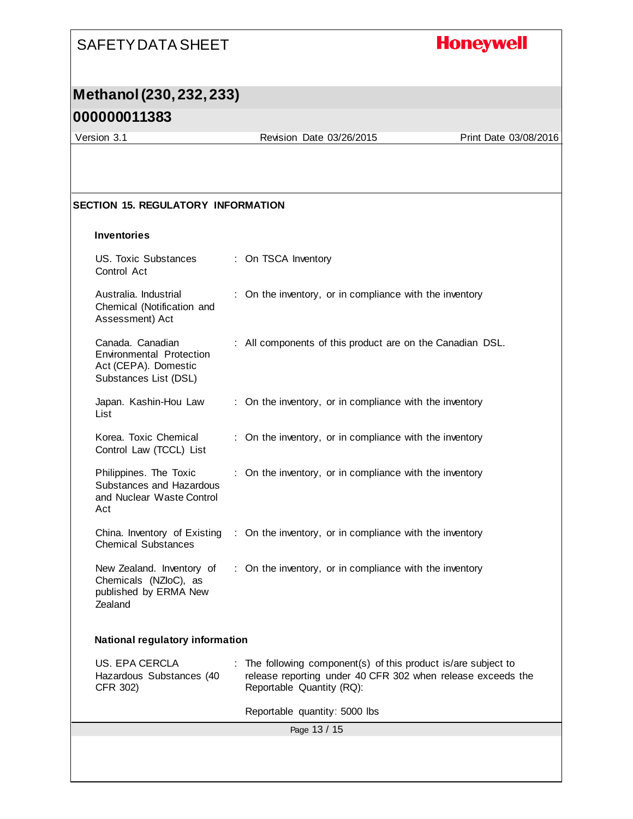# **Honeywell**

# **Methanol (230, 232, 233)**

### **000000011383**

Version 3.1 Revision Date 03/26/2015 Print Date 03/08/2016

#### **SECTION 15. REGULATORY INFORMATION**

#### **Inventories**

| US. Toxic Substances<br>Control Act                                                                  |  | : On TSCA Inventory                                                                                                                                        |  |  |
|------------------------------------------------------------------------------------------------------|--|------------------------------------------------------------------------------------------------------------------------------------------------------------|--|--|
| Australia. Industrial<br>Chemical (Notification and<br>Assessment) Act                               |  | : On the inventory, or in compliance with the inventory                                                                                                    |  |  |
| Canada, Canadian<br><b>Environmental Protection</b><br>Act (CEPA). Domestic<br>Substances List (DSL) |  | : All components of this product are on the Canadian DSL.                                                                                                  |  |  |
| Japan. Kashin-Hou Law<br>List                                                                        |  | : On the inventory, or in compliance with the inventory                                                                                                    |  |  |
| Korea. Toxic Chemical<br>Control Law (TCCL) List                                                     |  | : On the inventory, or in compliance with the inventory                                                                                                    |  |  |
| Philippines. The Toxic<br>Substances and Hazardous<br>and Nuclear Waste Control<br>Act               |  | : On the inventory, or in compliance with the inventory                                                                                                    |  |  |
| China. Inventory of Existing<br><b>Chemical Substances</b>                                           |  | : On the inventory, or in compliance with the inventory                                                                                                    |  |  |
| New Zealand. Inventory of<br>Chemicals (NZloC), as<br>published by ERMA New<br>Zealand               |  | : On the inventory, or in compliance with the inventory                                                                                                    |  |  |
| National regulatory information                                                                      |  |                                                                                                                                                            |  |  |
| <b>US. EPA CERCLA</b><br>Hazardous Substances (40<br>CFR 302)                                        |  | : The following component(s) of this product is/are subject to<br>release reporting under 40 CFR 302 when release exceeds the<br>Reportable Quantity (RQ): |  |  |
|                                                                                                      |  | Reportable quantity: 5000 lbs                                                                                                                              |  |  |
|                                                                                                      |  | Page 13 / 15                                                                                                                                               |  |  |
|                                                                                                      |  |                                                                                                                                                            |  |  |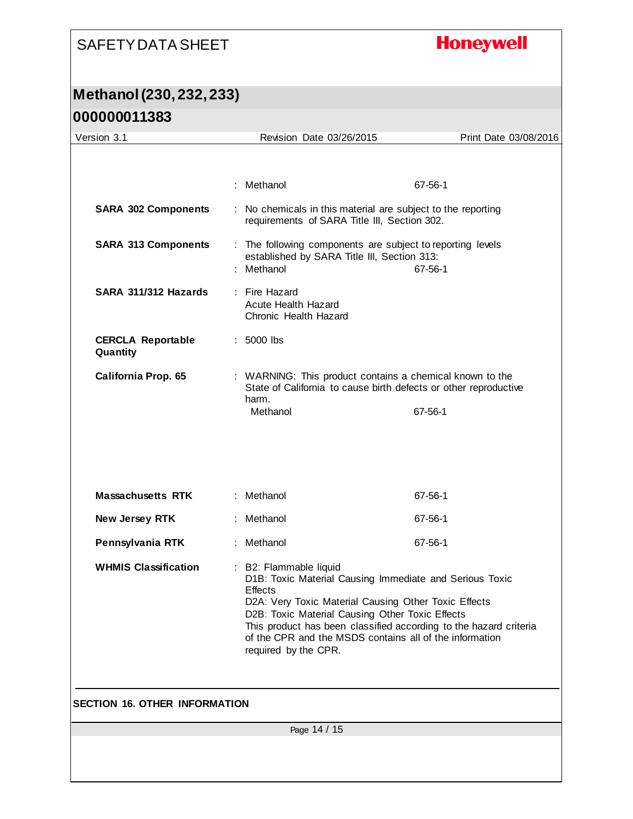# **Honeywell**

# **Methanol (230, 232, 233)**

| Version 3.1                          | Revision Date 03/26/2015                                                                                                                                                                                                                                                                                                                                               | Print Date 03/08/2016 |
|--------------------------------------|------------------------------------------------------------------------------------------------------------------------------------------------------------------------------------------------------------------------------------------------------------------------------------------------------------------------------------------------------------------------|-----------------------|
|                                      |                                                                                                                                                                                                                                                                                                                                                                        |                       |
|                                      | : Methanol                                                                                                                                                                                                                                                                                                                                                             | 67-56-1               |
| <b>SARA 302 Components</b>           | : No chemicals in this material are subject to the reporting<br>requirements of SARA Title III, Section 302.                                                                                                                                                                                                                                                           |                       |
| <b>SARA 313 Components</b>           | : The following components are subject to reporting levels<br>established by SARA Title III, Section 313:<br>: Methanol                                                                                                                                                                                                                                                | 67-56-1               |
| SARA 311/312 Hazards                 | : Fire Hazard<br><b>Acute Health Hazard</b><br>Chronic Health Hazard                                                                                                                                                                                                                                                                                                   |                       |
| <b>CERCLA Reportable</b><br>Quantity | $: 5000$ lbs                                                                                                                                                                                                                                                                                                                                                           |                       |
| California Prop. 65                  | : WARNING: This product contains a chemical known to the<br>State of California to cause birth defects or other reproductive<br>harm.                                                                                                                                                                                                                                  |                       |
|                                      | Methanol                                                                                                                                                                                                                                                                                                                                                               | 67-56-1               |
| <b>Massachusetts RTK</b>             | : Methanol                                                                                                                                                                                                                                                                                                                                                             | 67-56-1               |
|                                      |                                                                                                                                                                                                                                                                                                                                                                        |                       |
| New Jersey RTK                       | : Methanol                                                                                                                                                                                                                                                                                                                                                             | 67-56-1               |
| Pennsylvania RTK                     | : Methanol                                                                                                                                                                                                                                                                                                                                                             | 67-56-1               |
| <b>WHMIS Classification</b>          | : B2: Flammable liquid<br>D1B: Toxic Material Causing Immediate and Serious Toxic<br><b>Effects</b><br>D2A: Very Toxic Material Causing Other Toxic Effects<br>D2B: Toxic Material Causing Other Toxic Effects<br>This product has been classified according to the hazard criteria<br>of the CPR and the MSDS contains all of the information<br>required by the CPR. |                       |
|                                      |                                                                                                                                                                                                                                                                                                                                                                        |                       |
| <b>SECTION 16. OTHER INFORMATION</b> |                                                                                                                                                                                                                                                                                                                                                                        |                       |
|                                      | Page 14 / 15                                                                                                                                                                                                                                                                                                                                                           |                       |
|                                      |                                                                                                                                                                                                                                                                                                                                                                        |                       |